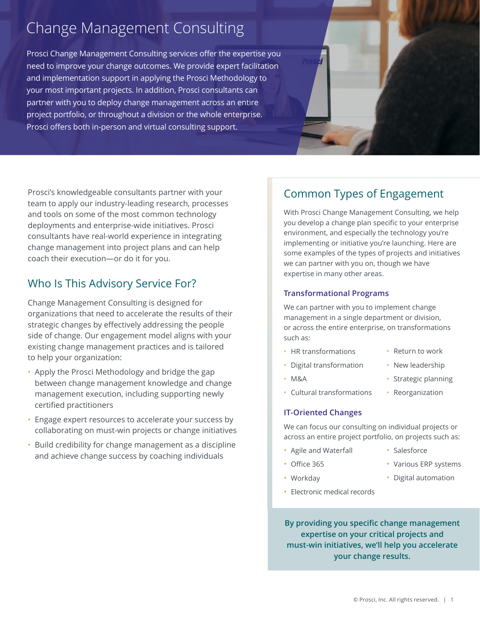# Change Management Consulting

Prosci Change Management Consulting services offer the expertise you need to improve your change outcomes. We provide expert facilitation and implementation support in applying the Prosci Methodology to your most important projects. In addition, Prosci consultants can partner with you to deploy change management across an entire project portfolio, or throughout a division or the whole enterprise. Prosci offers both in-person and virtual consulting support.

Prosci's knowledgeable consultants partner with your team to apply our industry-leading research, processes and tools on some of the most common technology deployments and enterprise-wide initiatives. Prosci consultants have real-world experience in integrating change management into project plans and can help coach their execution--or do it for you.

## Who Is This Advisory Service For?

Change Management Consulting is designed for organizations that need to accelerate the results of their strategic changes by effectively addressing the people side of change. Our engagement model aligns with your existing change management practices and is tailored to help your organization:

- Apply the Prosci Methodology and bridge the gap between change management knowledge and change management execution, including supporting newly certified practitioners
- Engage expert resources to accelerate your success by collaborating on must-win projects or change initiatives
- Build credibility for change management as a discipline and achieve change success by coaching individuals

# Common Types of Engagement

With Prosci Change Management Consulting, we help you develop a change plan specific to your enterprise environment, and especially the technology you're implementing or initiative you're launching. Here are some examples of the types of projects and initiatives we can partner with you on, though we have expertise in many other areas.

### **Transformational Programs**

We can partner with you to implement change management in a single department or division, or across the entire enterprise, on transformations such as:

- HR transformations
- Digital transformation
- M&A
- 
- Cultural transformations

### **IT-Oriented Changes**

We can focus our consulting on individual projects or across an entire project portfolio, on projects such as:

• Agile and Waterfall

• Electronic medical records

- $\cdot$  Office 365
- Workday
- By providing you specific change management expertise on your critical projects and must-win initiatives, we'll help you accelerate your change results.
	- © Prosci, Inc. All rights reserved. | 1
- Return to work
- New leadership

• Salesforce

• Various ERP systems • Digital automation

- Strategic planning
- Reorganization
-